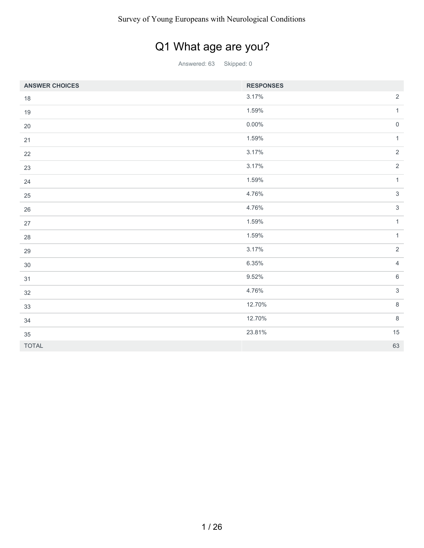## Q1 What age are you?

| <b>ANSWER CHOICES</b> | <b>RESPONSES</b> |                     |
|-----------------------|------------------|---------------------|
| $18\,$                | 3.17%            | $\overline{2}$      |
| 19                    | 1.59%            | $\mathbf{1}$        |
| 20                    | $0.00\%$         | $\mathsf{O}\xspace$ |
| 21                    | 1.59%            | $\mathbf{1}$        |
| 22                    | 3.17%            | $\overline{2}$      |
| 23                    | 3.17%            | $\overline{2}$      |
| 24                    | 1.59%            | $\mathbf{1}$        |
| 25                    | 4.76%            | $\mathfrak{S}$      |
| 26                    | 4.76%            | $\mathfrak{S}$      |
| 27                    | 1.59%            | $\mathbf{1}$        |
| 28                    | 1.59%            | $\mathbf{1}$        |
| 29                    | 3.17%            | $\overline{2}$      |
| $30\,$                | 6.35%            | $\overline{4}$      |
| 31                    | 9.52%            | $\,6\,$             |
| 32                    | 4.76%            | $\mathfrak{S}$      |
| 33                    | 12.70%           | $\,8\,$             |
| 34                    | 12.70%           | $\,8\,$             |
| 35                    | 23.81%           | 15                  |
| <b>TOTAL</b>          |                  | 63                  |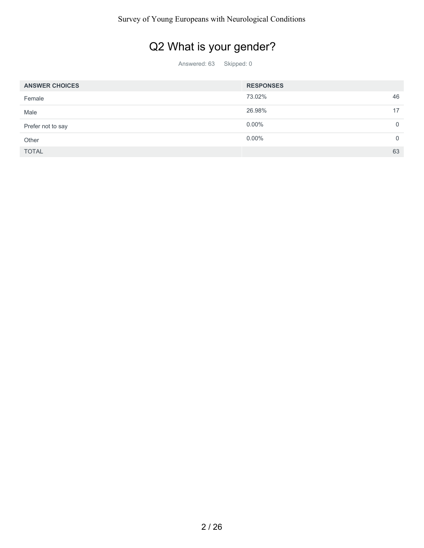### Q2 What is your gender?

| <b>ANSWER CHOICES</b> | <b>RESPONSES</b> |    |
|-----------------------|------------------|----|
| Female                | 73.02%           | 46 |
| Male                  | 26.98%           | 17 |
| Prefer not to say     | $0.00\%$         |    |
| Other                 | $0.00\%$         |    |
| <b>TOTAL</b>          |                  | 63 |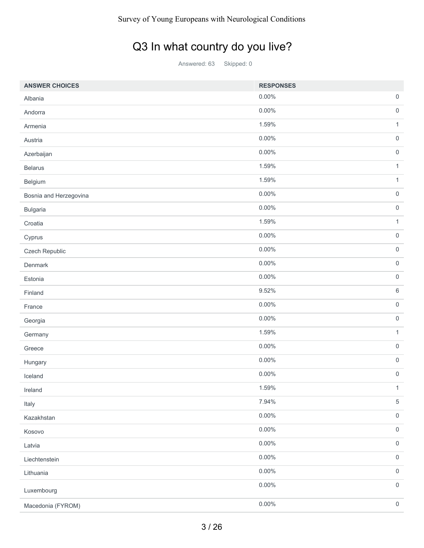### Q3 In what country do you live?

| <b>ANSWER CHOICES</b>  | <b>RESPONSES</b> |                     |
|------------------------|------------------|---------------------|
| Albania                | $0.00\%$         | $\mathsf{O}\xspace$ |
| Andorra                | $0.00\%$         | $\mathbf 0$         |
| Armenia                | 1.59%            | $\mathbf{1}$        |
| Austria                | $0.00\%$         | $\mathsf{O}\xspace$ |
| Azerbaijan             | $0.00\%$         | $\mathsf{O}\xspace$ |
| <b>Belarus</b>         | 1.59%            | $\mathbf{1}$        |
| Belgium                | 1.59%            | $\mathbf{1}$        |
| Bosnia and Herzegovina | $0.00\%$         | $\mathsf{O}\xspace$ |
| <b>Bulgaria</b>        | $0.00\%$         | $\mathsf{O}\xspace$ |
| Croatia                | 1.59%            | $\mathbf{1}$        |
| Cyprus                 | $0.00\%$         | $\mathsf{O}\xspace$ |
| Czech Republic         | 0.00%            | $\mathbf 0$         |
| Denmark                | $0.00\%$         | $\mathsf{O}\xspace$ |
| Estonia                | $0.00\%$         | $\mathsf 0$         |
| Finland                | 9.52%            | $\,6$               |
| France                 | $0.00\%$         | $\mathsf{O}\xspace$ |
| Georgia                | $0.00\%$         | $\mathsf 0$         |
| Germany                | 1.59%            | $\mathbf{1}$        |
| Greece                 | $0.00\%$         | $\mathsf{O}\xspace$ |
| Hungary                | $0.00\%$         | $\mathsf{O}\xspace$ |
| Iceland                | $0.00\%$         | $\mathsf{O}\xspace$ |
| Ireland                | 1.59%            | $\mathbf{1}$        |
| Italy                  | 7.94%            | $\,$ 5 $\,$         |
| Kazakhstan             | $0.00\%$         | $\mathsf{O}\xspace$ |
| Kosovo                 | $0.00\%$         | $\mathbf 0$         |
| Latvia                 | $0.00\%$         | $\mathsf 0$         |
| Liechtenstein          | 0.00%            | $\mathsf{O}\xspace$ |
| Lithuania              | $0.00\%$         | $\mathbf 0$         |
| Luxembourg             | $0.00\%$         | $\mathsf 0$         |
| Macedonia (FYROM)      | 0.00%            | $\mathsf{O}\xspace$ |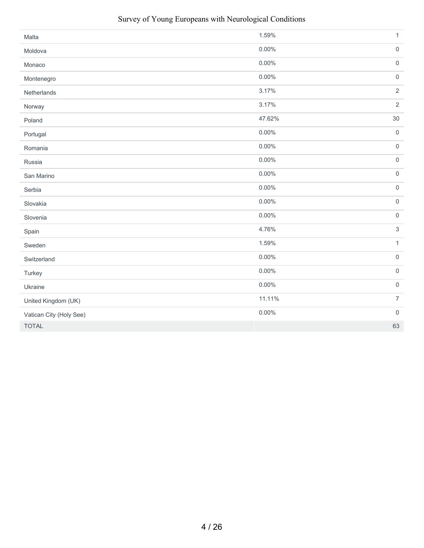| Malta                   | 1.59%    | $\mathbf{1}$        |
|-------------------------|----------|---------------------|
| Moldova                 | $0.00\%$ | $\mathsf{O}\xspace$ |
| Monaco                  | $0.00\%$ | $\mathsf{O}\xspace$ |
| Montenegro              | $0.00\%$ | $\mathsf{O}\xspace$ |
| Netherlands             | 3.17%    | $\overline{2}$      |
| Norway                  | 3.17%    | $\overline{2}$      |
| Poland                  | 47.62%   | $30\,$              |
| Portugal                | 0.00%    | $\mathsf{O}\xspace$ |
| Romania                 | $0.00\%$ | $\mathsf{O}\xspace$ |
| Russia                  | 0.00%    | $\mathsf{O}\xspace$ |
| San Marino              | $0.00\%$ | $\mathsf{O}\xspace$ |
| Serbia                  | $0.00\%$ | $\mathsf{O}\xspace$ |
| Slovakia                | 0.00%    | $\mathsf{O}\xspace$ |
| Slovenia                | $0.00\%$ | $\mathsf{O}\xspace$ |
| Spain                   | 4.76%    | $\sqrt{3}$          |
| Sweden                  | 1.59%    | $\mathbf{1}$        |
| Switzerland             | $0.00\%$ | $\mathsf{O}\xspace$ |
| Turkey                  | 0.00%    | $\mathsf{O}\xspace$ |
| Ukraine                 | 0.00%    | $\mathsf{O}\xspace$ |
| United Kingdom (UK)     | 11.11%   | $\overline{7}$      |
| Vatican City (Holy See) | $0.00\%$ | $\mathsf{O}\xspace$ |
| <b>TOTAL</b>            |          | 63                  |

#### Survey of Young Europeans with Neurological Conditions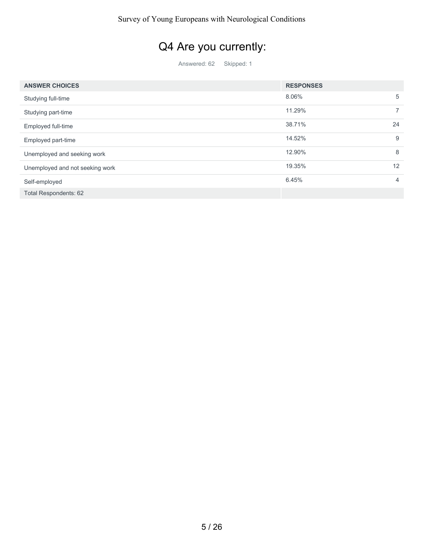# Q4 Are you currently:

| <b>ANSWER CHOICES</b>           | <b>RESPONSES</b> |    |
|---------------------------------|------------------|----|
| Studying full-time              | 8.06%            | 5  |
| Studying part-time              | 11.29%           |    |
| Employed full-time              | 38.71%           | 24 |
| Employed part-time              | 14.52%           | 9  |
| Unemployed and seeking work     | 12.90%           | 8  |
| Unemployed and not seeking work | 19.35%           | 12 |
| Self-employed                   | 6.45%            | 4  |
| <b>Total Respondents: 62</b>    |                  |    |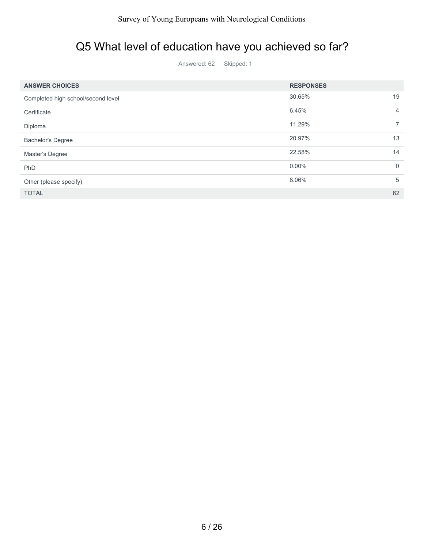#### Q5 What level of education have you achieved so far?

| <b>ANSWER CHOICES</b>              | <b>RESPONSES</b> |    |
|------------------------------------|------------------|----|
| Completed high school/second level | 30.65%           | 19 |
| Certificate                        | 6.45%            | 4  |
| Diploma                            | 11.29%           |    |
| <b>Bachelor's Degree</b>           | 20.97%           | 13 |
| Master's Degree                    | 22.58%           | 14 |
| PhD                                | $0.00\%$         | 0  |
| Other (please specify)             | 8.06%            | 5  |
| <b>TOTAL</b>                       |                  | 62 |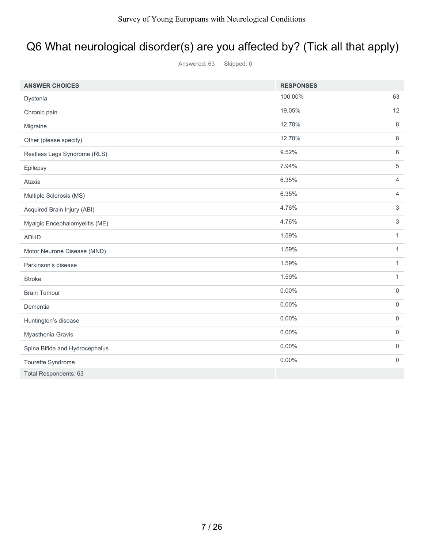# Q6 What neurological disorder(s) are you affected by? (Tick all that apply)

| <b>ANSWER CHOICES</b>          | <b>RESPONSES</b> |                     |
|--------------------------------|------------------|---------------------|
| Dystonia                       | 100.00%          | 63                  |
| Chronic pain                   | 19.05%           | 12                  |
| Migraine                       | 12.70%           | 8                   |
| Other (please specify)         | 12.70%           | $\,8\,$             |
| Restless Legs Syndrome (RLS)   | 9.52%            | 6                   |
| Epilepsy                       | 7.94%            | 5                   |
| Ataxia                         | 6.35%            | $\overline{4}$      |
| Multiple Sclerosis (MS)        | 6.35%            | $\overline{4}$      |
| Acquired Brain Injury (ABI)    | 4.76%            | 3                   |
| Myalgic Encephalomyelitis (ME) | 4.76%            | 3                   |
| <b>ADHD</b>                    | 1.59%            | $\mathbf{1}$        |
| Motor Neurone Disease (MND)    | 1.59%            | $\mathbf{1}$        |
| Parkinson's disease            | 1.59%            | $\mathbf{1}$        |
| <b>Stroke</b>                  | 1.59%            | $\mathbf{1}$        |
| <b>Brain Tumour</b>            | $0.00\%$         | $\mathsf{O}$        |
| Dementia                       | $0.00\%$         | $\mathbf 0$         |
| Huntington's disease           | $0.00\%$         | $\mathbf 0$         |
| Myasthenia Gravis              | $0.00\%$         | $\mathsf{O}\xspace$ |
| Spina Bifida and Hydrocephalus | $0.00\%$         | 0                   |
| Tourette Syndrome              | $0.00\%$         | $\mathbf 0$         |
| <b>Total Respondents: 63</b>   |                  |                     |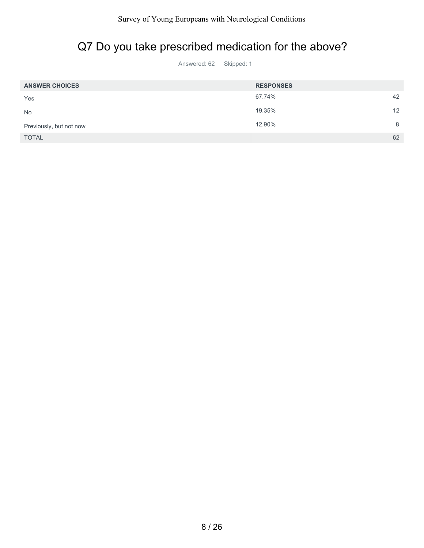### Q7 Do you take prescribed medication for the above?

| <b>ANSWER CHOICES</b>   | <b>RESPONSES</b> |    |
|-------------------------|------------------|----|
| Yes                     | 67.74%           | 42 |
| <b>No</b>               | 19.35%           | 12 |
| Previously, but not now | 12.90%           | 8  |
| <b>TOTAL</b>            |                  | 62 |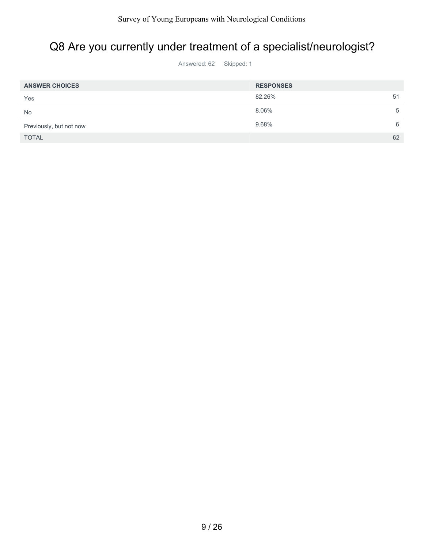### Q8 Are you currently under treatment of a specialist/neurologist?

| <b>ANSWER CHOICES</b>   | <b>RESPONSES</b> |   |
|-------------------------|------------------|---|
| Yes                     | 82.26%<br>51     |   |
| <b>No</b>               | 8.06%            | 5 |
| Previously, but not now | 9.68%            | 6 |
| <b>TOTAL</b>            | 62               |   |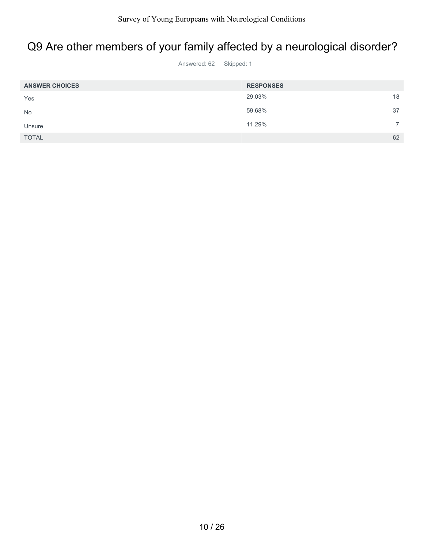### Q9 Are other members of your family affected by a neurological disorder?

| <b>ANSWER CHOICES</b> | <b>RESPONSES</b> |    |
|-----------------------|------------------|----|
| Yes                   | 29.03%           | 18 |
| <b>No</b>             | 59.68%           | 37 |
| Unsure                | 11.29%           |    |
| <b>TOTAL</b>          |                  | 62 |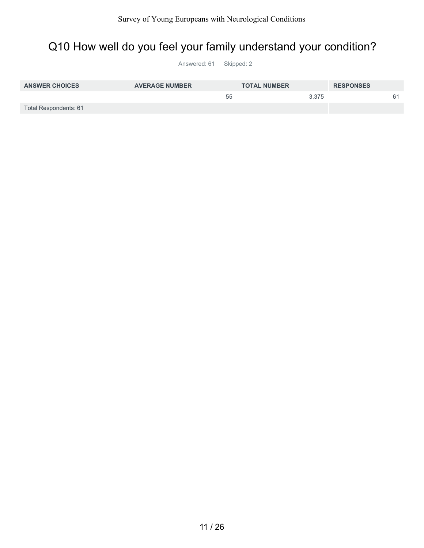### Q10 How well do you feel your family understand your condition?

| <b>ANSWER CHOICES</b> | <b>AVERAGE NUMBER</b> | <b>TOTAL NUMBER</b> | <b>RESPONSES</b> |
|-----------------------|-----------------------|---------------------|------------------|
|                       | 55                    | 3.375               |                  |
| Total Respondents: 61 |                       |                     |                  |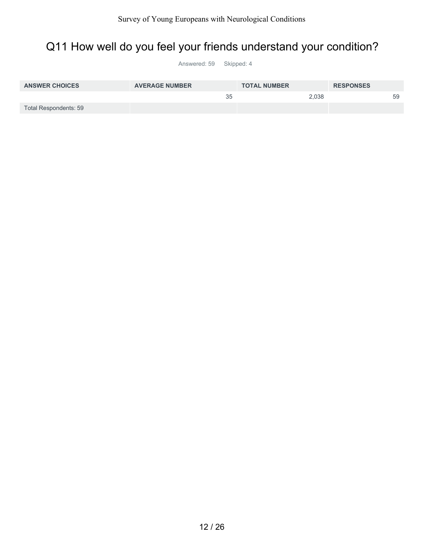### Q11 How well do you feel your friends understand your condition?

| <b>ANSWER CHOICES</b> | <b>AVERAGE NUMBER</b> | <b>TOTAL NUMBER</b> | <b>RESPONSES</b> |
|-----------------------|-----------------------|---------------------|------------------|
|                       | 35                    | 2,038               | 59               |
| Total Respondents: 59 |                       |                     |                  |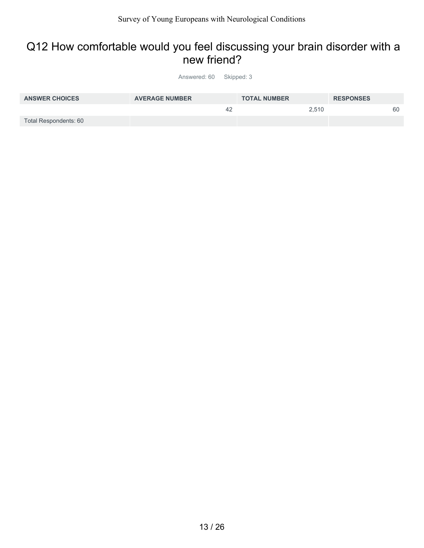#### Q12 How comfortable would you feel discussing your brain disorder with a new friend?

| <b>ANSWER CHOICES</b> | <b>AVERAGE NUMBER</b> | <b>TOTAL NUMBER</b> | <b>RESPONSES</b> |
|-----------------------|-----------------------|---------------------|------------------|
|                       | 42                    | 2.510               | 60               |
| Total Respondents: 60 |                       |                     |                  |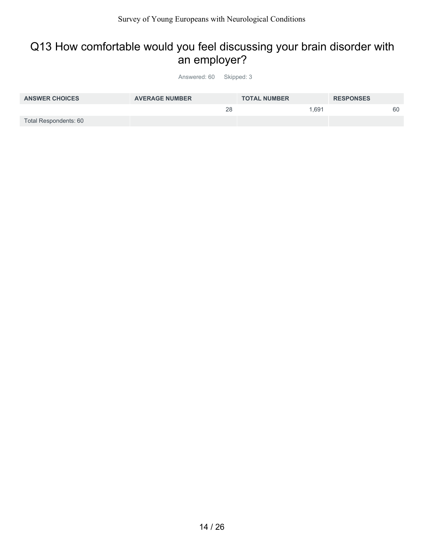#### Q13 How comfortable would you feel discussing your brain disorder with an employer?

| <b>ANSWER CHOICES</b> | <b>AVERAGE NUMBER</b> | <b>TOTAL NUMBER</b> | <b>RESPONSES</b> |
|-----------------------|-----------------------|---------------------|------------------|
|                       | 28                    | 1.691               | 60               |
| Total Respondents: 60 |                       |                     |                  |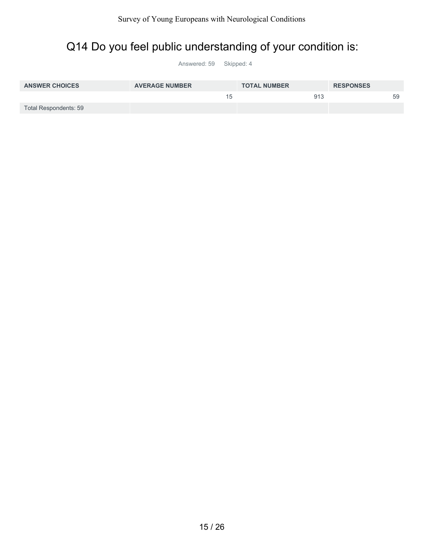### Q14 Do you feel public understanding of your condition is:

| <b>ANSWER CHOICES</b> | <b>AVERAGE NUMBER</b> | <b>TOTAL NUMBER</b> | <b>RESPONSES</b> |
|-----------------------|-----------------------|---------------------|------------------|
|                       | 15                    | 913                 | 59               |
| Total Respondents: 59 |                       |                     |                  |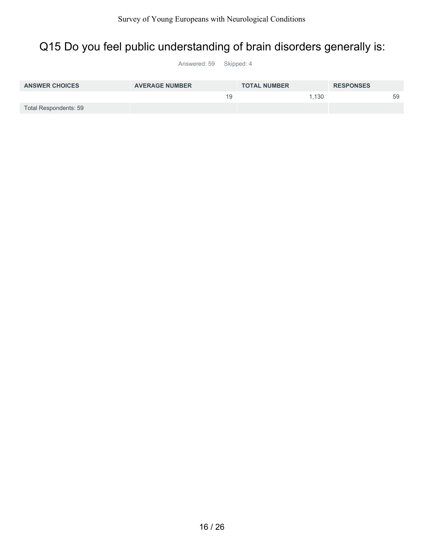#### Q15 Do you feel public understanding of brain disorders generally is:

| <b>ANSWER CHOICES</b> | <b>AVERAGE NUMBER</b> | <b>TOTAL NUMBER</b> | <b>RESPONSES</b> |
|-----------------------|-----------------------|---------------------|------------------|
|                       | 19                    | 1.130               | 59               |
| Total Respondents: 59 |                       |                     |                  |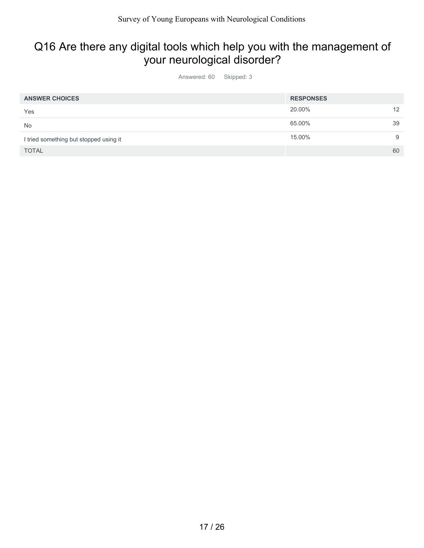### Q16 Are there any digital tools which help you with the management of your neurological disorder?

| <b>ANSWER CHOICES</b>                  | <b>RESPONSES</b> |                   |
|----------------------------------------|------------------|-------------------|
| Yes                                    | 20.00%           | $12 \overline{ }$ |
| <b>No</b>                              | 65.00%           | 39                |
| I tried something but stopped using it | 15.00%           | 9                 |
| <b>TOTAL</b>                           |                  | 60                |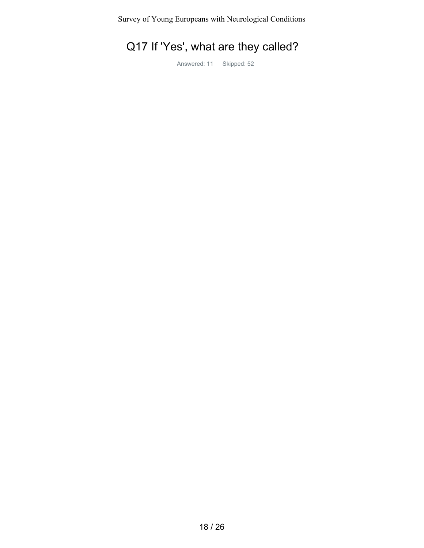## Q17 If 'Yes', what are they called?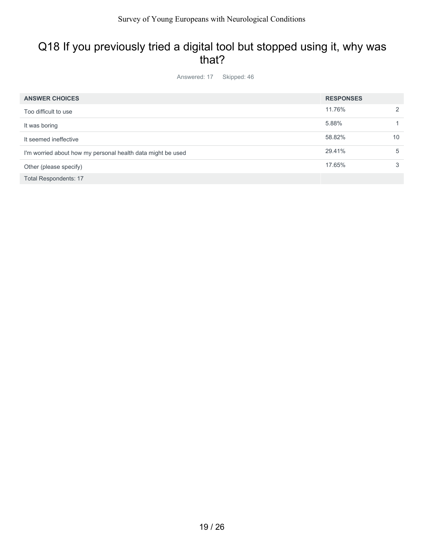#### Q18 If you previously tried a digital tool but stopped using it, why was that?

| <b>ANSWER CHOICES</b>                                       | <b>RESPONSES</b> |    |
|-------------------------------------------------------------|------------------|----|
| Too difficult to use                                        | 11.76%           | 2  |
| It was boring                                               | 5.88%            |    |
| It seemed ineffective                                       | 58.82%           | 10 |
| I'm worried about how my personal health data might be used | 29.41%           | 5  |
| Other (please specify)                                      | 17.65%           | 3  |
| <b>Total Respondents: 17</b>                                |                  |    |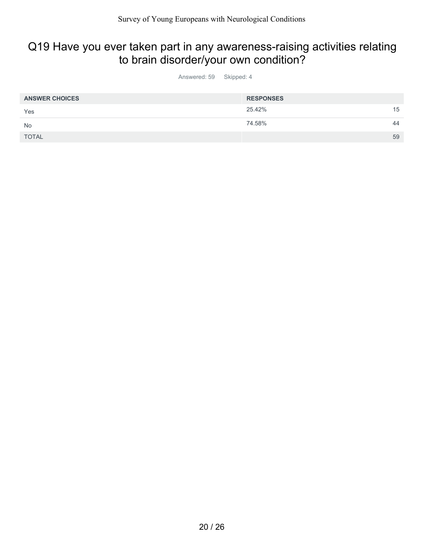#### Q19 Have you ever taken part in any awareness-raising activities relating to brain disorder/your own condition?

| <b>ANSWER CHOICES</b> | <b>RESPONSES</b> |    |
|-----------------------|------------------|----|
| Yes                   | 25.42%           | 15 |
| No                    | 74.58%           | 44 |
| <b>TOTAL</b>          |                  | 59 |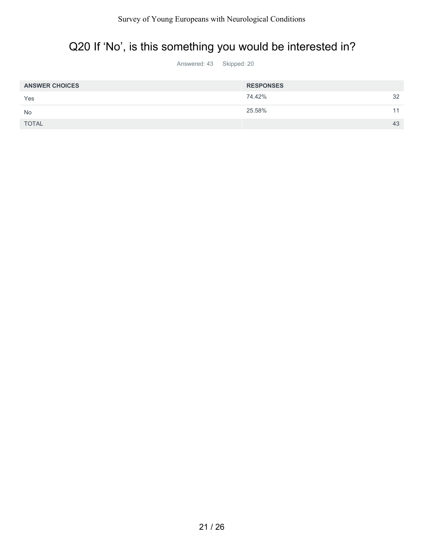# Q20 If 'No', is this something you would be interested in?

| <b>ANSWER CHOICES</b> | <b>RESPONSES</b> |    |
|-----------------------|------------------|----|
| Yes                   | 74.42%           | 32 |
| <b>No</b>             | 25.58%           | 11 |
| <b>TOTAL</b>          |                  | 43 |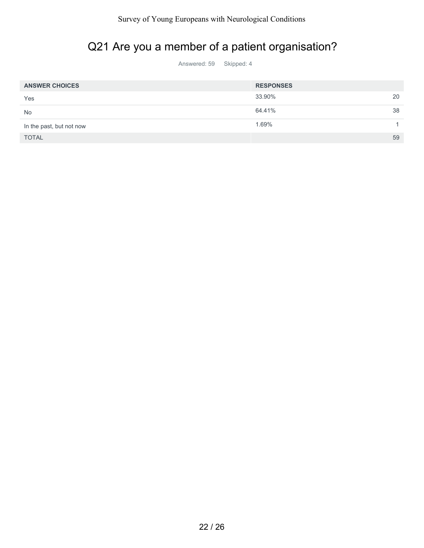### Q21 Are you a member of a patient organisation?

| <b>ANSWER CHOICES</b>    | <b>RESPONSES</b> |    |
|--------------------------|------------------|----|
| Yes                      | 33.90%           | 20 |
| <b>No</b>                | 64.41%           | 38 |
| In the past, but not now | 1.69%            |    |
| <b>TOTAL</b>             |                  | 59 |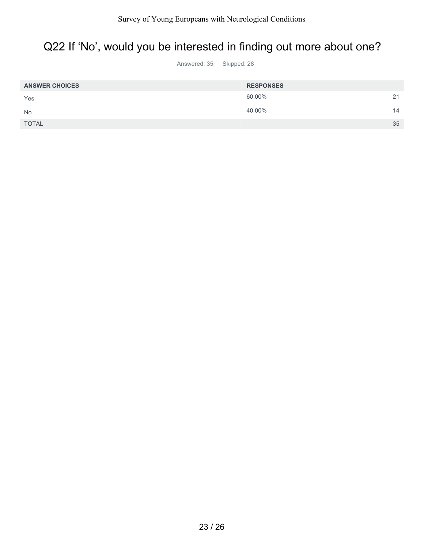#### Q22 If 'No', would you be interested in finding out more about one?

| <b>ANSWER CHOICES</b> | <b>RESPONSES</b> |    |
|-----------------------|------------------|----|
| Yes                   | 60.00%           | 21 |
| <b>No</b>             | 40.00%           | 14 |
| <b>TOTAL</b>          |                  | 35 |